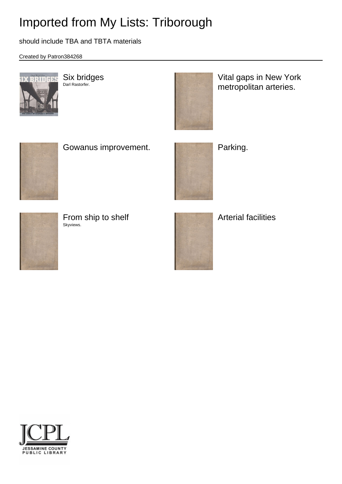# Imported from My Lists: Triborough

should include TBA and TBTA materials

Created by Patron384268



Six bridges Darl Rastorfer.

Vital gaps in New York metropolitan arteries.



Gowanus improvement. **Parking.** Parking.





From ship to shelf Skyviews.



Arterial facilities

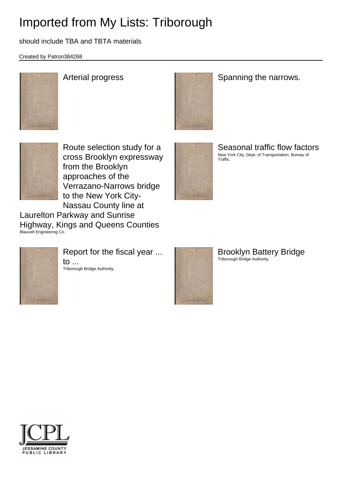# Imported from My Lists: Triborough

### should include TBA and TBTA materials

Created by Patron384268





## Arterial progress **Spanning the narrows.** Spanning the narrows.



Route selection study for a cross Brooklyn expressway from the Brooklyn approaches of the Verrazano-Narrows bridge to the New York City-Nassau County line at

Laurelton Parkway and Sunrise Highway, Kings and Queens Counties Blauvelt Engineering Co.



Seasonal traffic flow factors New York City, Dept. of Transportation, Bureau of Traffic.



Report for the fiscal year ... to ... Triborough Bridge Authority.



Brooklyn Battery Bridge Triborough Bridge Authority.